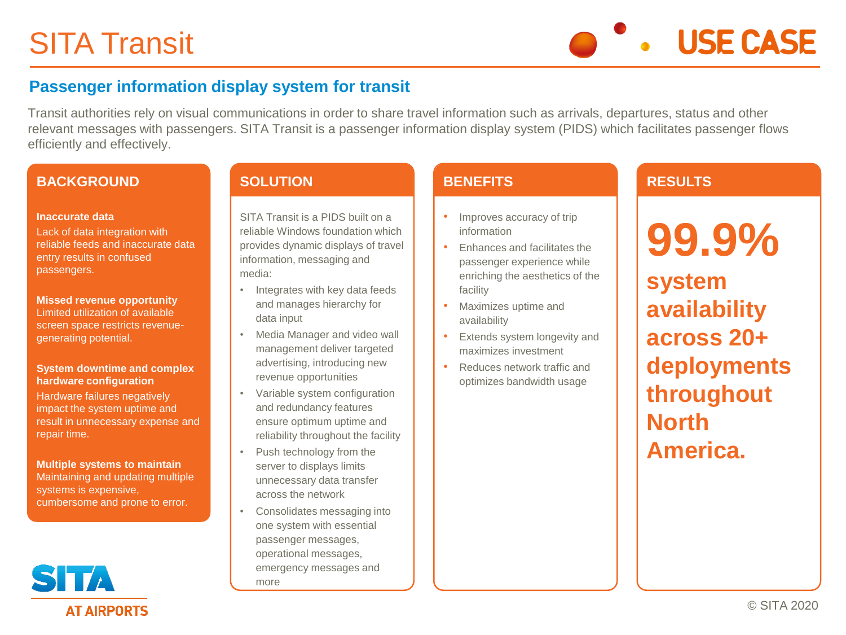**USE CASE** 

### **Passenger information display system for transit**

Transit authorities rely on visual communications in order to share travel information such as arrivals, departures, status and other relevant messages with passengers. SITA Transit is a passenger information display system (PIDS) which facilitates passenger flows efficiently and effectively.

#### **BACKGROUND**

#### **Inaccurate data**

Lack of data integration with reliable feeds and inaccurate data entry results in confused passengers.

**Missed revenue opportunity**  Limited utilization of available screen space restricts revenuegenerating potential.

#### **System downtime and complex hardware configuration**

Hardware failures negatively impact the system uptime and result in unnecessary expense and repair time.

**Multiple systems to maintain**  Maintaining and updating multiple systems is expensive, cumbersome and prone to error.

## STA **AT AIRPORTS**

#### **SOLUTION**

SITA Transit is a PIDS built on a reliable Windows foundation which provides dynamic displays of travel information, messaging and media:

- Integrates with key data feeds and manages hierarchy for data input
- Media Manager and video wall management deliver targeted advertising, introducing new revenue opportunities
- Variable system configuration and redundancy features ensure optimum uptime and reliability throughout the facility
- Push technology from the server to displays limits unnecessary data transfer across the network
- Consolidates messaging into one system with essential passenger messages, operational messages, emergency messages and more

#### **BENEFITS**

- Improves accuracy of trip information
- Enhances and facilitates the passenger experience while enriching the aesthetics of the facility
- Maximizes uptime and availability
- Extends system longevity and maximizes investment
- Reduces network traffic and optimizes bandwidth usage

#### **RESULTS**

**99.9% system availability across 20+ deployments throughout North America.**